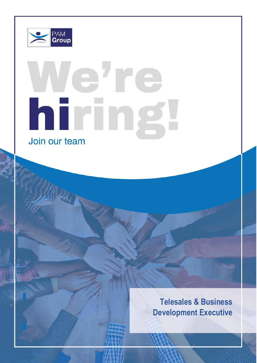

**Overview**

Role: SpLD Assessors on an associate basis Based: Remote with occasional travel in local area

Reporting To: Director of Psychology

# lehre hiring! Join our team

**Telesales & Business Development Executive**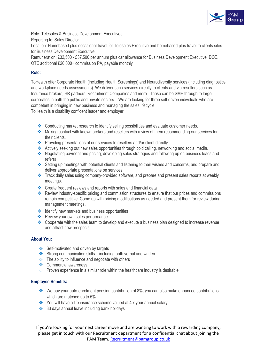

Role: Telesales & Business Development Executives

Reporting to: Sales Director

Location: Homebased plus occasional travel for Telesales Executive and homebased plus travel to clients sites for Business Development Executive

Remuneration: £32,500 - £37,500 per annum plus car allowance for Business Development Executive. DOE. OTE additional £20,000+ commission PA, payable monthly

# **Role:**

ToHealth offer Corporate Health (including Health Screenings) and Neurodiversity services (including diagnostics and workplace needs assessments). We deliver such services directly to clients and via resellers such as Insurance brokers, HR partners, Recruitment Companies and more. These can be SME through to large corporates in both the public and private sectors. We are looking for three self-driven individuals who are competent in bringing in new business and managing the sales lifecycle.

ToHealth is a disability confident leader and employer.

- ❖ Conducting market research to identify selling possibilities and evaluate customer needs.
- ❖ Making contact with known brokers and resellers with a view of them recommending our services for their clients.
- ❖ Providing presentations of our services to resellers and/or client directly.
- ❖ Actively seeking out new sales opportunities through cold calling, networking and social media.
- ❖ Negotiating payment and pricing, developing sales strategies and following up on business leads and referral.
- ❖ Setting up meetings with potential clients and listening to their wishes and concerns, and prepare and deliver appropriate presentations on services.
- ❖ Track daily sales using company-provided software, and prepare and present sales reports at weekly meetings.
- ❖ Create frequent reviews and reports with sales and financial data
- ❖ Review industry-specific pricing and commission structures to ensure that our prices and commissions remain competitive. Come up with pricing modifications as needed and present them for review during management meetings.
- ❖ Identify new markets and business opportunities
- ❖ Review your own sales performance
- ❖ Cooperate with the sales team to develop and execute a business plan designed to increase revenue and attract new prospects.

# **About You:**

- ❖ Self-motivated and driven by targets
- ❖ Strong communication skills including both verbal and written
- ❖ The ability to influence and negotiate with others
- ❖ Commercial awareness
- ❖ Proven experience in a similar role within the healthcare industry is desirable

## **Employee Benefits:**

- ❖ We pay your auto-enrolment pension contribution of 8%, you can also make enhanced contributions which are matched up to 5%
- ❖ You will have a life insurance scheme valued at 4 x your annual salary
- ❖ 33 days annual leave including bank holidays

If you're looking for your next career move and are wanting to work with a rewarding company, please get in touch with our Recruitment department for a confidential chat about joining the PAM Team. [Recruitment@pamgroup.co.uk](mailto:Recruitment@pamgroup.co.uk)